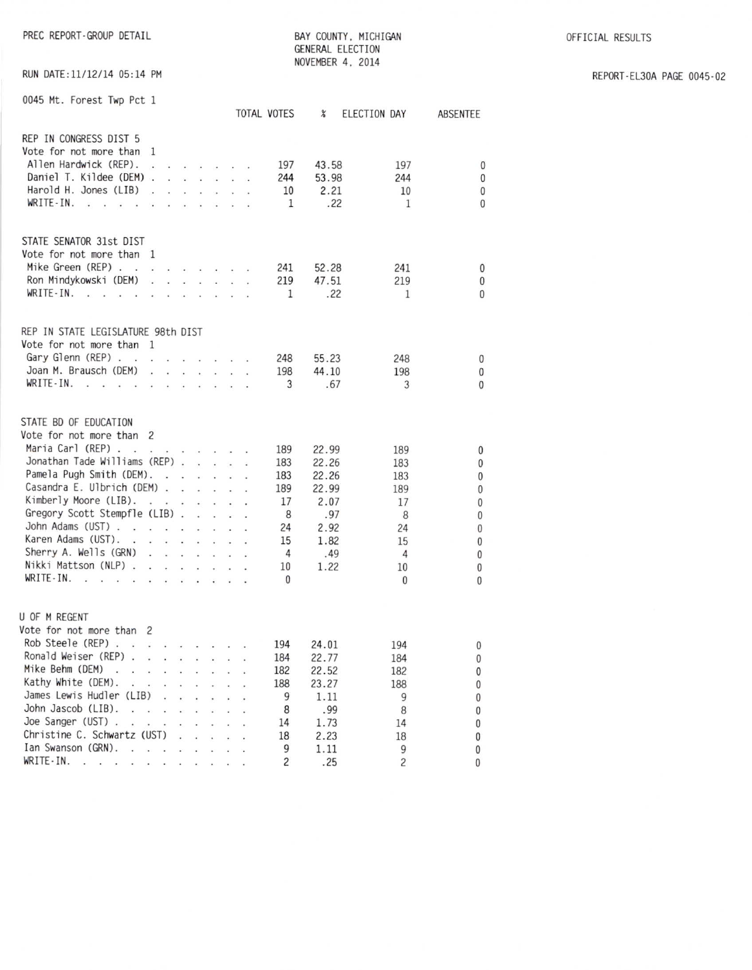PREC REPORT-GROUP DETAIL

BAY COUNTY, MICHIGAN GENERAL ELECTION NOVEMBER 4, 2014

OFFICIAL RESULTS

RUN DATE:11/12/14 05:14 PM

| REPORT-EL30A PAGE 0045-02 |  |  |
|---------------------------|--|--|
|                           |  |  |

| 0045 Mt. Forest Twp Pct 1                                                                                                                                                                                                                                                                                                                                                                      |                                                                                                                                                                                                                                                                                                                                                                                                                                                                         |                                                                                                                                                                                                                           |                                 |                                                                                   |        | TOTAL VOTES                                                            | $\chi$                                                                         | ELECTION DAY                                                                    | ABSENTEE                                                              |
|------------------------------------------------------------------------------------------------------------------------------------------------------------------------------------------------------------------------------------------------------------------------------------------------------------------------------------------------------------------------------------------------|-------------------------------------------------------------------------------------------------------------------------------------------------------------------------------------------------------------------------------------------------------------------------------------------------------------------------------------------------------------------------------------------------------------------------------------------------------------------------|---------------------------------------------------------------------------------------------------------------------------------------------------------------------------------------------------------------------------|---------------------------------|-----------------------------------------------------------------------------------|--------|------------------------------------------------------------------------|--------------------------------------------------------------------------------|---------------------------------------------------------------------------------|-----------------------------------------------------------------------|
| REP IN CONGRESS DIST 5<br>Vote for not more than<br>Allen Hardwick (REP).<br>Daniel T. Kildee (DEM).<br>Harold H. Jones (LIB)<br>WRITE-IN.<br>ä,<br>÷,<br>$\sim$<br>$\tilde{\mathbf{z}}$                                                                                                                                                                                                       | -1<br>G.<br>$\sim$                                                                                                                                                                                                                                                                                                                                                                                                                                                      | <b>CONTRACTOR</b>                                                                                                                                                                                                         |                                 |                                                                                   | $\sim$ | 197<br>244<br>10<br>1                                                  | 43.58<br>53.98<br>2.21<br>.22                                                  | 197<br>244<br>10<br>1                                                           | $\mathbf{0}$<br>0<br>$\mathbf{0}$<br>$\bf{0}$                         |
| STATE SENATOR 31st DIST<br>Vote for not more than 1<br>Mike Green (REP)<br>Ron Mindykowski (DEM)<br>WRITE-IN.<br>$\sim$<br>$\sim$ $\sim$<br>$\sim$                                                                                                                                                                                                                                             | $\begin{array}{cccccccccccccc} \mathbf{1} & \mathbf{1} & \mathbf{1} & \mathbf{1} & \mathbf{1} & \mathbf{1} & \mathbf{1} & \mathbf{1} & \mathbf{1} & \mathbf{1} & \mathbf{1} & \mathbf{1} & \mathbf{1} & \mathbf{1} & \mathbf{1} & \mathbf{1} & \mathbf{1} & \mathbf{1} & \mathbf{1} & \mathbf{1} & \mathbf{1} & \mathbf{1} & \mathbf{1} & \mathbf{1} & \mathbf{1} & \mathbf{1} & \mathbf{1} & \mathbf{1} & \mathbf{1} & \mathbf{1} &$<br>$\sim$<br>$\ddot{\phantom{a}}$ | $\mathbf{r}$ and $\mathbf{r}$ and $\mathbf{r}$ and $\mathbf{r}$                                                                                                                                                           |                                 | and a company of the                                                              |        | 241<br>219<br>1                                                        | 52.28<br>47.51<br>.22                                                          | 241<br>219<br>1                                                                 | 0<br>0<br>$\Omega$                                                    |
| REP IN STATE LEGISLATURE 98th DIST<br>Vote for not more than 1<br>Gary Glenn (REP)<br>Joan M. Brausch (DEM)<br>WRITE-IN.<br>$\cdot$ $\cdot$                                                                                                                                                                                                                                                    | the contract of the contract of the                                                                                                                                                                                                                                                                                                                                                                                                                                     |                                                                                                                                                                                                                           |                                 |                                                                                   |        | 248<br>198<br>3                                                        | 55.23<br>44.10<br>.67                                                          | 248<br>198<br>3                                                                 | 0<br>0<br>$\overline{0}$                                              |
| STATE BD OF EDUCATION<br>Vote for not more than 2<br>Maria Carl (REP).<br>$\cdot$ $\cdot$<br>Jonathan Tade Williams (REP)<br>Pamela Pugh Smith (DEM).<br>Casandra E. Ulbrich (DEM).<br>Kimberly Moore (LIB).<br>Gregory Scott Stempfle (LIB).<br>John Adams (UST)<br>Karen Adams (UST).<br>Sherry A. Wells (GRN)<br>Nikki Mattson (NLP) .<br>$WRITE-IN.$                                       | $\sim$<br>$\cdot$ $\cdot$<br>the contract of the contract of the<br>the contract of the contract of the<br>÷<br>$\mathcal{L}^{\prime}$                                                                                                                                                                                                                                                                                                                                  | $\mathbf{r} = \mathbf{r} \cdot \mathbf{r}$ . The set of $\mathbf{r} = \mathbf{r} \cdot \mathbf{r}$<br>$\mathbf{v}$ and $\mathbf{v}$ and $\mathbf{v}$<br>and the contract of<br>$\overline{\bullet}$<br>an na saoine an sa |                                 | $\mathcal{L}^{\text{max}}$ , and $\mathcal{L}^{\text{max}}$<br>and the control of | à.     | 189<br>183<br>183<br>189<br>17<br>8<br>24<br>15<br>4<br>10<br>$\Omega$ | 22.99<br>22.26<br>22.26<br>22.99<br>2.07<br>.97<br>2.92<br>1.82<br>.49<br>1.22 | 189<br>183<br>183<br>189<br>17<br>8<br>24<br>15<br>4<br>10<br>$\mathbf{0}$      | 0<br>0<br>0<br>0<br>0<br>0<br>$\bf{0}$<br>0<br>0<br>0<br>$\mathbf{0}$ |
| U OF M REGENT<br>Vote for not more than 2<br>Rob Steele (REP).<br>Ronald Weiser (REP).<br>Mike Behm (DEM)<br>$\ddot{\phantom{0}}$<br>Kathy White (DEM).<br>Ý.<br>James Lewis Hudler (LIB)<br>John Jascob (LIB).<br><b>Section</b><br>Joe Sanger (UST).<br>$\sim$<br>Christine C. Schwartz (UST)<br>Ian Swanson (GRN).<br>÷.<br>WRITE-IN.<br>$\cdot$ $\cdot$<br>$\cdot$ $\cdot$ $\cdot$ $\cdot$ | $\mathcal{A}=\mathcal{A}=\mathcal{A}=\mathcal{A}=\mathcal{A}=\mathcal{A}=\mathcal{A}$<br>$\sim$ $\sim$<br>the company of the company of<br>$\ddot{\phantom{a}}$<br>$\ddot{\phantom{a}}$<br>v.<br>v.<br>$\ddot{\phantom{a}}$<br>$\sim$<br>$\sim$                                                                                                                                                                                                                         | $\ddot{\phantom{a}}$<br>an i<br>$\ddot{\phantom{a}}$<br>ä,<br>$\ddot{\phantom{a}}$                                                                                                                                        | $\cdot$ $\cdot$<br>$\sim$<br>à. | $\ddot{\phantom{a}}$<br>$\sim$<br>$\ddot{\phantom{0}}$                            | ί¥.    | 194<br>184<br>182<br>188<br>9<br>8<br>14<br>18<br>9<br>2               | 24.01<br>22.77<br>22.52<br>23.27<br>1.11<br>.99<br>1.73<br>2.23<br>1.11<br>.25 | 194<br>184<br>182<br>188<br>9<br>8<br>14<br>18<br>9<br>$\overline{\mathcal{L}}$ | 0<br>0<br>0<br>0<br>0<br>0<br>0<br>0<br>0<br>0                        |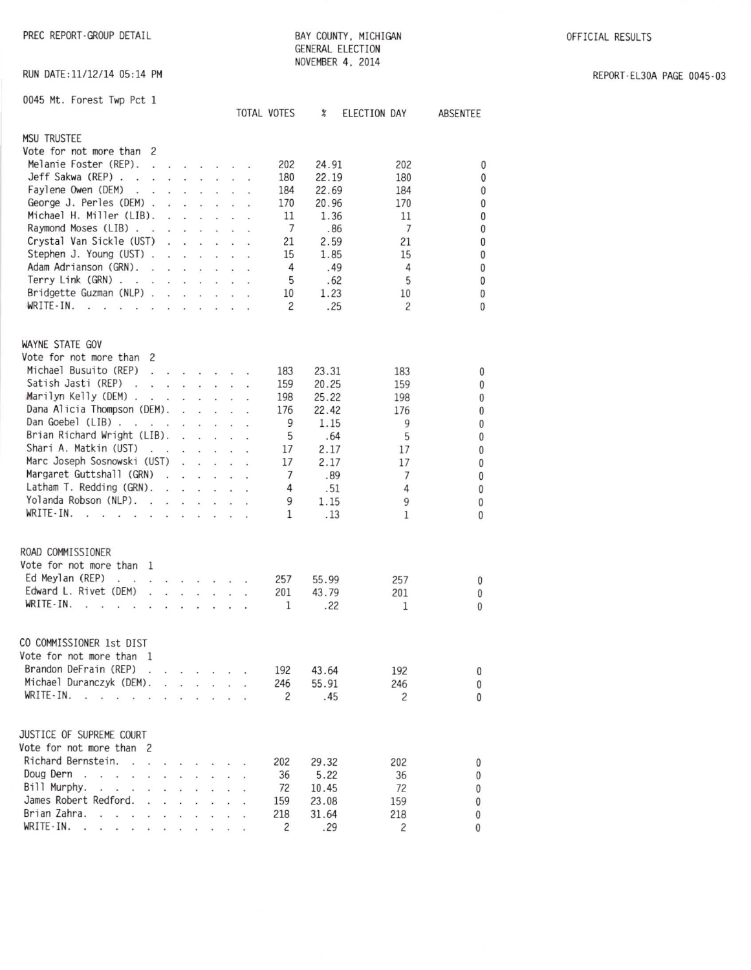PREC REPORT-GROUP DETAIL

BAY COUNTY, MICHIGAN GENERAL ELECTION NOVEMBER 4, 2014

REPORT-EL30A PAGE 0045-03

RUN DATE: 11/12/14 05:14 PM

| 0045 Mt. Forest Twp Pct 1                                                                                                                                                                                                                                                                                                                                                                                                                          |    |  |              | <b>TOTAL VOTES</b> | X     | ELECTION DAY   | ABSENTEE     |
|----------------------------------------------------------------------------------------------------------------------------------------------------------------------------------------------------------------------------------------------------------------------------------------------------------------------------------------------------------------------------------------------------------------------------------------------------|----|--|--------------|--------------------|-------|----------------|--------------|
| <b>MSU TRUSTEE</b>                                                                                                                                                                                                                                                                                                                                                                                                                                 |    |  |              |                    |       |                |              |
| Vote for not more than 2                                                                                                                                                                                                                                                                                                                                                                                                                           |    |  |              |                    |       |                |              |
| Melanie Foster (REP).<br>$\begin{array}{cccccccccccccc} \Box & \Box & \Box & \Box & \Box & \Box & \Box & \Box & \Box & \Box \end{array}$                                                                                                                                                                                                                                                                                                           |    |  |              | 202                | 24.91 | 202            |              |
| Jeff Sakwa (REP)                                                                                                                                                                                                                                                                                                                                                                                                                                   |    |  |              | 180                | 22.19 | 180            | 0            |
| Faylene Owen (DEM).                                                                                                                                                                                                                                                                                                                                                                                                                                |    |  | ó.           | 184                |       |                | 0            |
| a contractor and a contractor<br>George J. Perles (DEM) .                                                                                                                                                                                                                                                                                                                                                                                          |    |  |              |                    | 22.69 | 184            | $\bf{0}$     |
| $\mathbf{a}$ , $\mathbf{a}$ , $\mathbf{a}$ , $\mathbf{a}$ , $\mathbf{a}$ , $\mathbf{a}$                                                                                                                                                                                                                                                                                                                                                            |    |  |              | 170                | 20.96 | 170            | $\pmb{0}$    |
| Michael H. Miller (LIB).<br>and and a strong control.                                                                                                                                                                                                                                                                                                                                                                                              |    |  |              | 11                 | 1.36  | 11             | $\pmb{0}$    |
| Raymond Moses (LIB)<br>$-1$ $-1$ $-1$ $-1$                                                                                                                                                                                                                                                                                                                                                                                                         |    |  |              | 7                  | .86   | $\overline{7}$ | $\mathbf{0}$ |
| Crystal Van Sickle (UST)<br>$\begin{array}{cccccccccccccc} \bullet & \bullet & \bullet & \bullet & \bullet & \bullet & \bullet & \bullet & \bullet & \bullet \end{array}$                                                                                                                                                                                                                                                                          |    |  |              | 21                 | 2.59  | 21             | $\mathbf 0$  |
| Stephen J. Young (UST)                                                                                                                                                                                                                                                                                                                                                                                                                             |    |  |              | 15                 | 1.85  | 15             | $\bf{0}$     |
| Adam Adrianson (GRN).                                                                                                                                                                                                                                                                                                                                                                                                                              |    |  |              | 4                  | .49   | 4              | $\pmb{0}$    |
| Terry Link $(GRN)$ .                                                                                                                                                                                                                                                                                                                                                                                                                               |    |  |              | 5                  | .62   | 5              | $\pmb{0}$    |
| Bridgette Guzman (NLP)                                                                                                                                                                                                                                                                                                                                                                                                                             |    |  |              | 10                 | 1.23  | 10             | $\mathbf{0}$ |
| WRITE-IN.<br>$\mathcal{L}(\mathbf{r})$<br>$\label{eq:reduced} \mathbf{r} = \mathbf{r} - \mathbf{r} - \mathbf{r} - \mathbf{r} - \mathbf{r} - \mathbf{r}$<br>à.<br>¥<br>$\cdot$                                                                                                                                                                                                                                                                      |    |  |              | $\overline{c}$     | .25   | 2              | 0            |
| WAYNE STATE GOV                                                                                                                                                                                                                                                                                                                                                                                                                                    |    |  |              |                    |       |                |              |
| Vote for not more than 2                                                                                                                                                                                                                                                                                                                                                                                                                           |    |  |              |                    |       |                |              |
| Michael Busuito (REP)<br>the company of the company                                                                                                                                                                                                                                                                                                                                                                                                |    |  | $\mathbf{r}$ | 183                | 23.31 | 183            | 0            |
| Satish Jasti (REP)                                                                                                                                                                                                                                                                                                                                                                                                                                 |    |  |              | 159                | 20.25 | 159            | 0            |
| Marilyn Kelly (DEM)                                                                                                                                                                                                                                                                                                                                                                                                                                |    |  |              | 198                | 25.22 | 198            | $\theta$     |
| Dana Alicia Thompson (DEM).<br>and the control                                                                                                                                                                                                                                                                                                                                                                                                     |    |  |              | 176                | 22.42 | 176            | $\mathbf{0}$ |
| Dan Goebel (LIB)                                                                                                                                                                                                                                                                                                                                                                                                                                   |    |  |              | 9                  | 1.15  | 9              | $\mathbf 0$  |
| Brian Richard Wright (LIB).<br><b>Service Control</b>                                                                                                                                                                                                                                                                                                                                                                                              |    |  |              | 5                  |       |                |              |
| Shari A. Matkin (UST)                                                                                                                                                                                                                                                                                                                                                                                                                              |    |  |              |                    | .64   | 5              | 0            |
| $\ddot{\phantom{a}}$<br>the contract of the contract of                                                                                                                                                                                                                                                                                                                                                                                            |    |  |              | 17                 | 2.17  | 17             | 0            |
| Marc Joseph Sosnowski (UST)                                                                                                                                                                                                                                                                                                                                                                                                                        |    |  |              | 17                 | 2.17  | 17             | 0            |
| Margaret Guttshall (GRN)                                                                                                                                                                                                                                                                                                                                                                                                                           |    |  |              | 7                  | .89   | 7              | 0            |
| Latham T. Redding (GRN).<br>and the second control of the second                                                                                                                                                                                                                                                                                                                                                                                   |    |  |              | 4                  | .51   | 4              | 0            |
| Yolanda Robson (NLP).                                                                                                                                                                                                                                                                                                                                                                                                                              |    |  |              | 9                  | 1.15  | 9              | 0            |
| WRITE-IN.<br>$\mathcal{A}$ , and $\mathcal{A}$ , and $\mathcal{A}$ , and $\mathcal{A}$ , and $\mathcal{A}$ , and $\mathcal{A}$                                                                                                                                                                                                                                                                                                                     |    |  |              | $\mathbf{1}$       | .13   | $\mathbf{1}$   | $\theta$     |
| ROAD COMMISSIONER                                                                                                                                                                                                                                                                                                                                                                                                                                  |    |  |              |                    |       |                |              |
| Vote for not more than<br>$\mathbf{1}$                                                                                                                                                                                                                                                                                                                                                                                                             |    |  |              |                    |       |                |              |
| Ed Meylan (REP)                                                                                                                                                                                                                                                                                                                                                                                                                                    |    |  |              | 257                | 55.99 | 257            | 0            |
| Edward L. Rivet (DEM)                                                                                                                                                                                                                                                                                                                                                                                                                              |    |  |              | 201                | 43.79 | 201            | 0            |
| WRITE-IN.<br>2012 10:00 to 10:00 to 10:00 to 10:00                                                                                                                                                                                                                                                                                                                                                                                                 |    |  |              | 1                  | .22   | 1              | 0            |
|                                                                                                                                                                                                                                                                                                                                                                                                                                                    |    |  |              |                    |       |                |              |
| CO COMMISSIONER 1st DIST                                                                                                                                                                                                                                                                                                                                                                                                                           |    |  |              |                    |       |                |              |
| Vote for not more than 1                                                                                                                                                                                                                                                                                                                                                                                                                           |    |  |              |                    |       |                |              |
| Brandon DeFrain (REP)                                                                                                                                                                                                                                                                                                                                                                                                                              |    |  |              | 192                | 43.64 | 192            | $\mathbf{0}$ |
| Michael Duranczyk (DEM).                                                                                                                                                                                                                                                                                                                                                                                                                           |    |  |              | 246                | 55.91 | 246            | $\mathbf{0}$ |
| $WRITE-IN.$<br>$\sim$                                                                                                                                                                                                                                                                                                                                                                                                                              |    |  |              | 2                  | .45   | 2              | $\mathbf{0}$ |
| JUSTICE OF SUPREME COURT                                                                                                                                                                                                                                                                                                                                                                                                                           |    |  |              |                    |       |                |              |
| Vote for not more than 2                                                                                                                                                                                                                                                                                                                                                                                                                           |    |  |              |                    |       |                |              |
| Richard Bernstein.                                                                                                                                                                                                                                                                                                                                                                                                                                 |    |  |              |                    |       |                |              |
| and the state of the                                                                                                                                                                                                                                                                                                                                                                                                                               |    |  |              | 202                | 29.32 | 202            | 0            |
| Doug Dern<br>$\mathbb{Z}^{\mathbb{Z}^{\times}}$ .<br>$\ddot{\phantom{0}}$                                                                                                                                                                                                                                                                                                                                                                          | ¥. |  |              | 36                 | 5.22  | 36             | $\mathbf{0}$ |
| Bill Murphy.<br>$\mathbf{X}=\mathbf{X}^T\mathbf{X}^T\mathbf{X}^T$ . We have<br>$\cdot$ $\cdot$                                                                                                                                                                                                                                                                                                                                                     |    |  |              | 72                 | 10.45 | 72             | $\mathbf{0}$ |
| James Robert Redford. .<br>$\mathbf{r}$<br>v.                                                                                                                                                                                                                                                                                                                                                                                                      |    |  |              | 159                | 23.08 | 159            | 0            |
| Brian Zahra.<br>$\cdot$ $\cdot$ $\cdot$<br>$\ddot{\phantom{0}}$                                                                                                                                                                                                                                                                                                                                                                                    |    |  |              | 218                | 31.64 | 218            | 0            |
| WRITE-IN.<br>$\begin{array}{cccccccccccccc} \mathbf{1} & \mathbf{1} & \mathbf{1} & \mathbf{1} & \mathbf{1} & \mathbf{1} & \mathbf{1} & \mathbf{1} & \mathbf{1} & \mathbf{1} & \mathbf{1} & \mathbf{1} & \mathbf{1} & \mathbf{1} & \mathbf{1} & \mathbf{1} & \mathbf{1} & \mathbf{1} & \mathbf{1} & \mathbf{1} & \mathbf{1} & \mathbf{1} & \mathbf{1} & \mathbf{1} & \mathbf{1} & \mathbf{1} & \mathbf{1} & \mathbf{1} & \mathbf{1} & \mathbf{1} &$ |    |  |              | 2                  | .29   | 2              | $\theta$     |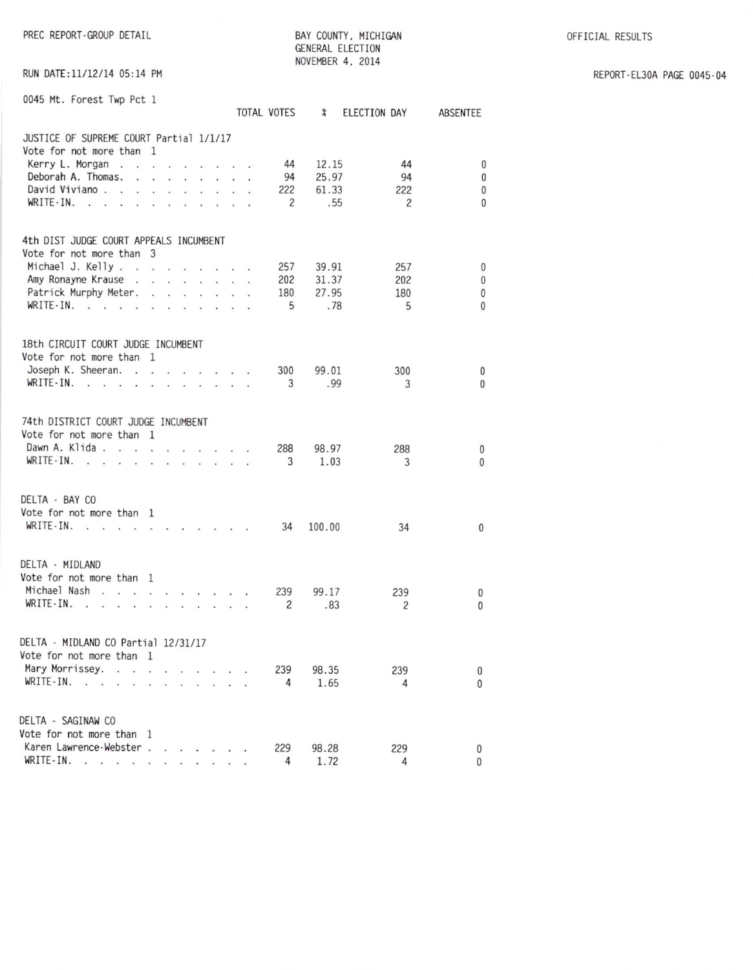OFFICIAL RESULTS

PREC REPORT-GROUP DETAIL

BAY COUNTY, MICHIGAN GENERAL ELECTION NOVEMBER 4, 2014

RUN DATE:11/12/14 05:14 PM

| REPORT-EL30A PAGE 0045-04 |  |  |
|---------------------------|--|--|
|---------------------------|--|--|

| 0045 Mt. Forest Twp Pct 1                                       |                          |     |                                         |  |        | TOTAL VOTES    | $\chi$ | ELECTION DAY   | ABSENTEE     |
|-----------------------------------------------------------------|--------------------------|-----|-----------------------------------------|--|--------|----------------|--------|----------------|--------------|
| JUSTICE OF SUPREME COURT Partial 1/1/17                         |                          |     |                                         |  |        |                |        |                |              |
| Vote for not more than 1                                        |                          |     |                                         |  |        |                |        |                |              |
| Kerry L. Morgan                                                 |                          |     |                                         |  |        | 44             | 12.15  | 44             | $\bf{0}$     |
| Deborah A. Thomas.                                              |                          |     |                                         |  |        | 94             | 25.97  | 94             | $\bf{0}$     |
| David Viviano.                                                  |                          |     |                                         |  |        | 222            | 61.33  | 222            | $\mathbf{0}$ |
| $WRITE-IN.$                                                     |                          |     |                                         |  |        | $\overline{c}$ | .55    | 2              | $\Omega$     |
| 4th DIST JUDGE COURT APPEALS INCUMBENT                          |                          |     |                                         |  |        |                |        |                |              |
| Vote for not more than 3                                        |                          |     |                                         |  |        |                |        |                |              |
| Michael J. Kelly                                                |                          |     |                                         |  |        | 257            | 39.91  | 257            | 0            |
| Amy Ronayne Krause                                              |                          |     |                                         |  |        | 202            | 31.37  | 202            | $\bf{0}$     |
| Patrick Murphy Meter.                                           |                          |     |                                         |  |        | 180            | 27.95  | 180            | $\bf 0$      |
| $WRITE-IN.$                                                     | ÷.                       | ÷.  | $\mathcal{L}$                           |  |        | 5              | .78    | 5              | $\mathbf{0}$ |
|                                                                 |                          |     |                                         |  |        |                |        |                |              |
| 18th CIRCUIT COURT JUDGE INCUMBENT                              |                          |     |                                         |  |        |                |        |                |              |
| Vote for not more than 1                                        |                          |     |                                         |  |        |                |        |                |              |
| Joseph K. Sheeran.                                              |                          |     |                                         |  |        | 300            | 99.01  | 300            | $\mathbf 0$  |
| WRITE-IN.                                                       |                          |     |                                         |  |        | 3              | .99    | 3              | $\Omega$     |
| 74th DISTRICT COURT JUDGE INCUMBENT<br>Vote for not more than 1 |                          |     |                                         |  |        |                |        |                |              |
| Dawn A. Klida                                                   |                          |     |                                         |  |        | 288            | 98.97  | 288            | 0            |
| WRITE-IN.<br>$\sim$ $\sim$<br>$\sim$                            | $\ddot{\phantom{1}}$     | 140 | <b>Section Control</b>                  |  |        | 3              | 1.03   | 3              | $\mathbf{0}$ |
|                                                                 |                          |     |                                         |  |        |                |        |                |              |
| DELTA - BAY CO                                                  |                          |     |                                         |  |        |                |        |                |              |
| Vote for not more than 1                                        |                          |     |                                         |  |        |                |        |                |              |
| $WRITE-IN.$                                                     | $\cdot$ $\cdot$          |     | $\cdot$ $\cdot$ $\cdot$ $\cdot$ $\cdot$ |  |        | 34             | 100.00 | 34             | $\mathbf{0}$ |
|                                                                 |                          |     |                                         |  |        |                |        |                |              |
| DELTA - MIDLAND                                                 |                          |     |                                         |  |        |                |        |                |              |
| Vote for not more than 1                                        |                          |     |                                         |  |        |                |        |                |              |
| Michael Nash                                                    |                          |     |                                         |  |        | 239            | 99.17  | 239            | 0            |
| WRITE-IN.                                                       |                          |     |                                         |  |        | $\overline{c}$ | .83    | $\overline{c}$ | $\mathbf{0}$ |
| DELTA - MIDLAND CO Partial 12/31/17                             |                          |     |                                         |  |        |                |        |                |              |
| Vote for not more than 1                                        |                          |     |                                         |  |        |                |        |                |              |
| Mary Morrissey.                                                 | the contract of the con- |     |                                         |  |        | 239            | 98.35  | 239            | 0            |
| WRITE-IN.                                                       |                          |     |                                         |  |        | 4              | 1.65   | 4              | $\Omega$     |
|                                                                 |                          |     |                                         |  |        |                |        |                |              |
| DELTA - SAGINAW CO                                              |                          |     |                                         |  |        |                |        |                |              |
| Vote for not more than 1                                        |                          |     |                                         |  |        |                |        |                |              |
| Karen Lawrence-Webster.                                         |                          | ¥.  | the contract of the con-                |  |        | 229            | 98.28  | 229            | $\bf{0}$     |
| WRITE-IN.<br>$\sim$<br>$1 - 1 - 1 - 1$                          |                          |     | $\cdot$ $\cdot$ $\cdot$ $\cdot$         |  | $\sim$ | 4              | 1.72   | 4              | 0            |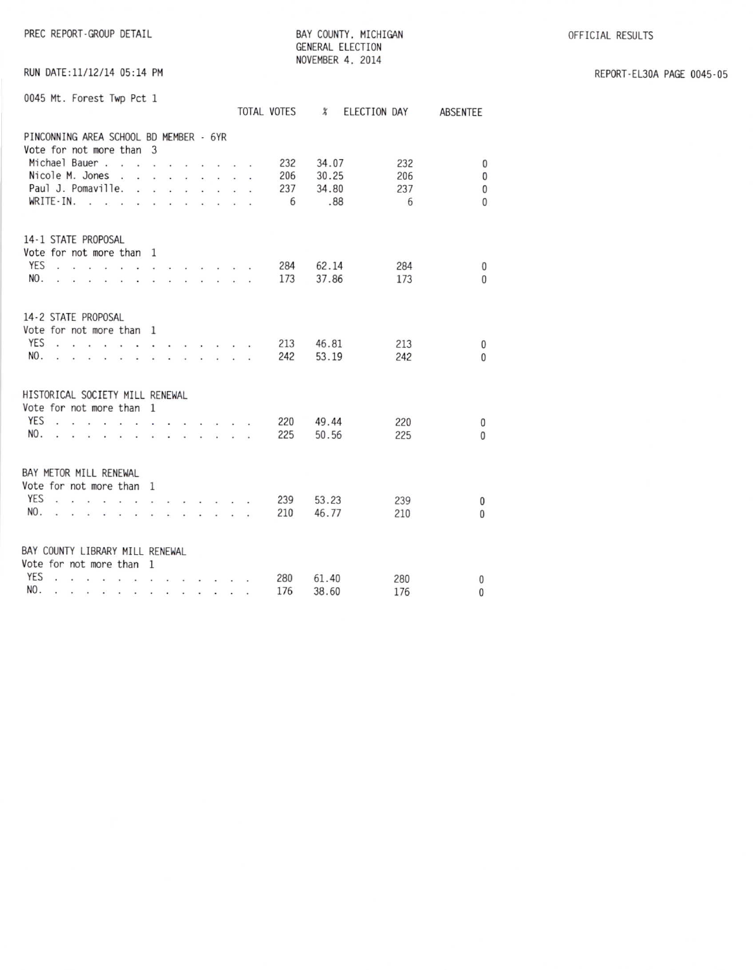PREC REPORT-GROUP DETAIL

BAY COUNTY, MICHIGAN GENERAL ELECTION NOVEMBER 4, 2014

OFFICIAL RESULTS

RUN DATE:11/12/14 05:14 PM

REPORT-EL30A PAGE 0045-05

| 0045 Mt. Forest Twp Pct 1                                                        |           |                                                        |                                                                                                                 |                                          |                       |              |                                                                                                                                                                                                                                             |                         |  | TOTAL VOTES            | $\chi$                  | ELECTION DAY |                        | ABSENTEE                                         |
|----------------------------------------------------------------------------------|-----------|--------------------------------------------------------|-----------------------------------------------------------------------------------------------------------------|------------------------------------------|-----------------------|--------------|---------------------------------------------------------------------------------------------------------------------------------------------------------------------------------------------------------------------------------------------|-------------------------|--|------------------------|-------------------------|--------------|------------------------|--------------------------------------------------|
| PINCONNING AREA SCHOOL BD MEMBER - 6YR<br>Vote for not more than 3               | WRITE-IN. | Michael Bauer<br>Nicole M. Jones<br>Paul J. Pomaville. |                                                                                                                 | <b>The Committee Committee Committee</b> | $\mathcal{L}^{\pm}$ . | ó.           | $\mathbf{r}$ . The set of the set of the set of the set of the set of the set of the set of the set of the set of the set of the set of the set of the set of the set of the set of the set of the set of the set of the set of t<br>$\sim$ | $\cdot$ $\cdot$ $\cdot$ |  | 232<br>206<br>237<br>6 | 34.07<br>30.25<br>34.80 | .88          | 232<br>206<br>237<br>6 | $\Omega$<br>$\mathbf{0}$<br>$\bf{0}$<br>$\Omega$ |
| 14-1 STATE PROPOSAL<br>Vote for not more than 1<br>YES<br>NO.                    |           |                                                        | .<br>Andre andere andere andere andere ander<br>.                                                               |                                          |                       |              |                                                                                                                                                                                                                                             |                         |  | 284<br>173             | 62.14<br>37.86          |              | 284<br>173             | $\mathbf{0}$<br>$\Omega$                         |
| 14-2 STATE PROPOSAL<br>Vote for not more than 1<br><b>YES</b><br>NO.             | $\sim$    |                                                        | <u>.</u><br><b>Contract Contract Contract Contract</b>                                                          |                                          |                       | $\sim$       | .                                                                                                                                                                                                                                           |                         |  | 213<br>242             | 46.81<br>53.19          |              | 213<br>242             | 0<br>$\Omega$                                    |
| HISTORICAL SOCIETY MILL RENEWAL<br>Vote for not more than 1<br><b>YES</b><br>NO. |           |                                                        |                                                                                                                 |                                          |                       |              |                                                                                                                                                                                                                                             |                         |  | 220<br>225             | 49.44<br>50.56          |              | 220<br>225             | 0<br>$\Omega$                                    |
| BAY METOR MILL RENEWAL<br>Vote for not more than<br><b>YES</b><br>NO.            |           |                                                        |                                                                                                                 |                                          |                       | $\mathbf{1}$ | and a series of the series of the                                                                                                                                                                                                           |                         |  | 239<br>210             | 53.23<br>46.77          |              | 239<br>210             | $\mathbf{0}$<br>0                                |
| BAY COUNTY LIBRARY MILL RENEWAL<br>Vote for not more than 1<br>YES<br>NO.        | $\sim$    | .                                                      | the contract of the contract of the contract of the contract of the contract of the contract of the contract of |                                          |                       |              |                                                                                                                                                                                                                                             |                         |  | 280<br>176             | 61.40<br>38.60          |              | 280<br>176             | 0<br>0                                           |